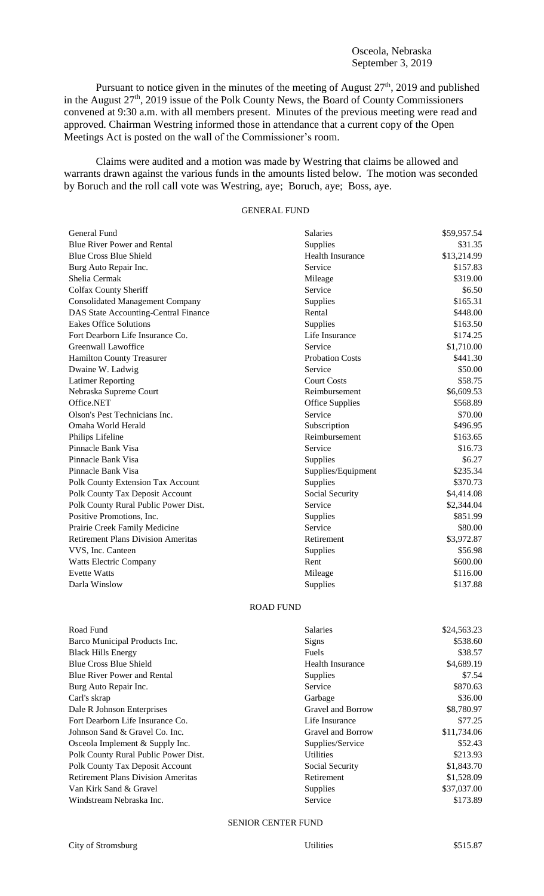## Osceola, Nebraska September 3, 2019

Pursuant to notice given in the minutes of the meeting of August  $27<sup>th</sup>$ , 2019 and published in the August  $27<sup>th</sup>$ , 2019 issue of the Polk County News, the Board of County Commissioners convened at 9:30 a.m. with all members present. Minutes of the previous meeting were read and approved. Chairman Westring informed those in attendance that a current copy of the Open Meetings Act is posted on the wall of the Commissioner's room.

Claims were audited and a motion was made by Westring that claims be allowed and warrants drawn against the various funds in the amounts listed below. The motion was seconded by Boruch and the roll call vote was Westring, aye; Boruch, aye; Boss, aye.

## GENERAL FUND

| General Fund                              | <b>Salaries</b>        | \$59,957.54 |
|-------------------------------------------|------------------------|-------------|
| <b>Blue River Power and Rental</b>        | Supplies               | \$31.35     |
| <b>Blue Cross Blue Shield</b>             | Health Insurance       | \$13,214.99 |
| Burg Auto Repair Inc.                     | Service                | \$157.83    |
| Shelia Cermak                             | Mileage                | \$319.00    |
| <b>Colfax County Sheriff</b>              | Service                | \$6.50      |
| <b>Consolidated Management Company</b>    | Supplies               | \$165.31    |
| DAS State Accounting-Central Finance      | Rental                 | \$448.00    |
| <b>Eakes Office Solutions</b>             | Supplies               | \$163.50    |
| Fort Dearborn Life Insurance Co.          | Life Insurance         | \$174.25    |
| Greenwall Lawoffice                       | Service                | \$1,710.00  |
| <b>Hamilton County Treasurer</b>          | <b>Probation Costs</b> | \$441.30    |
| Dwaine W. Ladwig                          | Service                | \$50.00     |
| <b>Latimer Reporting</b>                  | <b>Court Costs</b>     | \$58.75     |
| Nebraska Supreme Court                    | Reimbursement          | \$6,609.53  |
| Office.NET                                | Office Supplies        | \$568.89    |
| Olson's Pest Technicians Inc.             | Service                | \$70.00     |
| Omaha World Herald                        | Subscription           | \$496.95    |
| Philips Lifeline                          | Reimbursement          | \$163.65    |
| Pinnacle Bank Visa                        | Service                | \$16.73     |
| Pinnacle Bank Visa                        | <b>Supplies</b>        | \$6.27      |
| Pinnacle Bank Visa                        | Supplies/Equipment     | \$235.34    |
| Polk County Extension Tax Account         | Supplies               | \$370.73    |
| Polk County Tax Deposit Account           | Social Security        | \$4,414.08  |
| Polk County Rural Public Power Dist.      | Service                | \$2,344.04  |
| Positive Promotions, Inc.                 | Supplies               | \$851.99    |
| Prairie Creek Family Medicine             | Service                | \$80.00     |
| <b>Retirement Plans Division Ameritas</b> | Retirement             | \$3,972.87  |
| VVS, Inc. Canteen                         | Supplies               | \$56.98     |
| <b>Watts Electric Company</b>             | Rent                   | \$600.00    |
| <b>Evette Watts</b>                       | Mileage                | \$116.00    |
| Darla Winslow                             | Supplies               | \$137.88    |

## ROAD FUND

| Road Fund                                 | <b>Salaries</b>         | \$24,563.23 |
|-------------------------------------------|-------------------------|-------------|
| Barco Municipal Products Inc.             | <b>Signs</b>            | \$538.60    |
| <b>Black Hills Energy</b>                 | <b>Fuels</b>            | \$38.57     |
| <b>Blue Cross Blue Shield</b>             | <b>Health Insurance</b> | \$4,689.19  |
| <b>Blue River Power and Rental</b>        | <b>Supplies</b>         | \$7.54      |
| Burg Auto Repair Inc.                     | Service                 | \$870.63    |
| Carl's skrap                              | Garbage                 | \$36.00     |
| Dale R Johnson Enterprises                | Gravel and Borrow       | \$8,780.97  |
| Fort Dearborn Life Insurance Co.          | Life Insurance          | \$77.25     |
| Johnson Sand & Gravel Co. Inc.            | Gravel and Borrow       | \$11,734.06 |
| Osceola Implement & Supply Inc.           | Supplies/Service        | \$52.43     |
| Polk County Rural Public Power Dist.      | <b>Utilities</b>        | \$213.93    |
| Polk County Tax Deposit Account           | Social Security         | \$1,843.70  |
| <b>Retirement Plans Division Ameritas</b> | Retirement              | \$1,528.09  |
| Van Kirk Sand & Gravel                    | <b>Supplies</b>         | \$37,037.00 |
| Windstream Nebraska Inc.                  | Service                 | \$173.89    |
|                                           |                         |             |

## SENIOR CENTER FUND